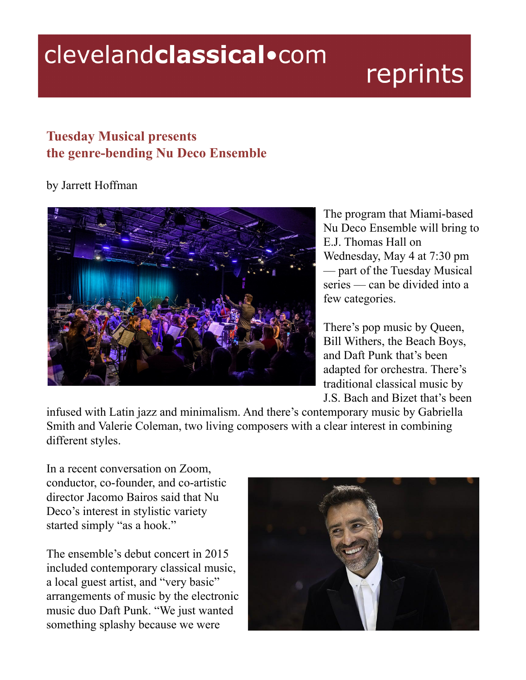## clevelandclassical.com

## reprints

## **Tuesday Musical presents the genre-bending Nu Deco Ensemble**

## by Jarrett Hoffman



The program that Miami-based Nu Deco Ensemble will bring to E.J. Thomas Hall on Wednesday, May 4 at 7:30 pm — part of the Tuesday Musical series — can be divided into a few categories.

There's pop music by Queen, Bill Withers, the Beach Boys, and Daft Punk that's been adapted for orchestra. There's traditional classical music by J.S. Bach and Bizet that's been

infused with Latin jazz and minimalism. And there's contemporary music by Gabriella Smith and Valerie Coleman, two living composers with a clear interest in combining different styles.

In a recent conversation on Zoom, conductor, co-founder, and co-artistic director Jacomo Bairos said that Nu Deco's interest in stylistic variety started simply "as a hook."

The ensemble's debut concert in 2015 included contemporary classical music, a local guest artist, and "very basic" arrangements of music by the electronic music duo Daft Punk. "We just wanted something splashy because we were

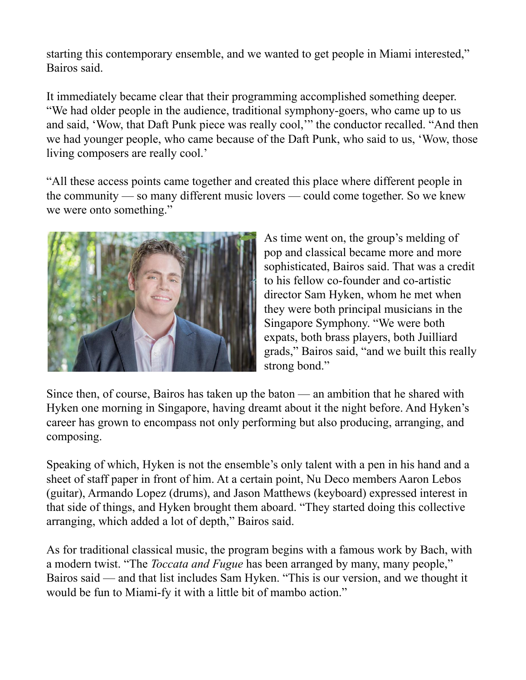starting this contemporary ensemble, and we wanted to get people in Miami interested," Bairos said.

It immediately became clear that their programming accomplished something deeper. "We had older people in the audience, traditional symphony-goers, who came up to us and said, 'Wow, that Daft Punk piece was really cool,'" the conductor recalled. "And then we had younger people, who came because of the Daft Punk, who said to us, 'Wow, those living composers are really cool.'

"All these access points came together and created this place where different people in the community — so many different music lovers — could come together. So we knew we were onto something."



As time went on, the group's melding of pop and classical became more and more sophisticated, Bairos said. That was a credit to his fellow co-founder and co-artistic director Sam Hyken, whom he met when they were both principal musicians in the Singapore Symphony. "We were both expats, both brass players, both Juilliard grads," Bairos said, "and we built this really strong bond."

Since then, of course, Bairos has taken up the baton — an ambition that he shared with Hyken one morning in Singapore, having dreamt about it the night before. And Hyken's career has grown to encompass not only performing but also producing, arranging, and composing.

Speaking of which, Hyken is not the ensemble's only talent with a pen in his hand and a sheet of staff paper in front of him. At a certain point, Nu Deco members Aaron Lebos (guitar), Armando Lopez (drums), and Jason Matthews (keyboard) expressed interest in that side of things, and Hyken brought them aboard. "They started doing this collective arranging, which added a lot of depth," Bairos said.

As for traditional classical music, the program begins with a famous work by Bach, with a modern twist. "The *Toccata and Fugue* has been arranged by many, many people," Bairos said — and that list includes Sam Hyken. "This is our version, and we thought it would be fun to Miami-fy it with a little bit of mambo action."